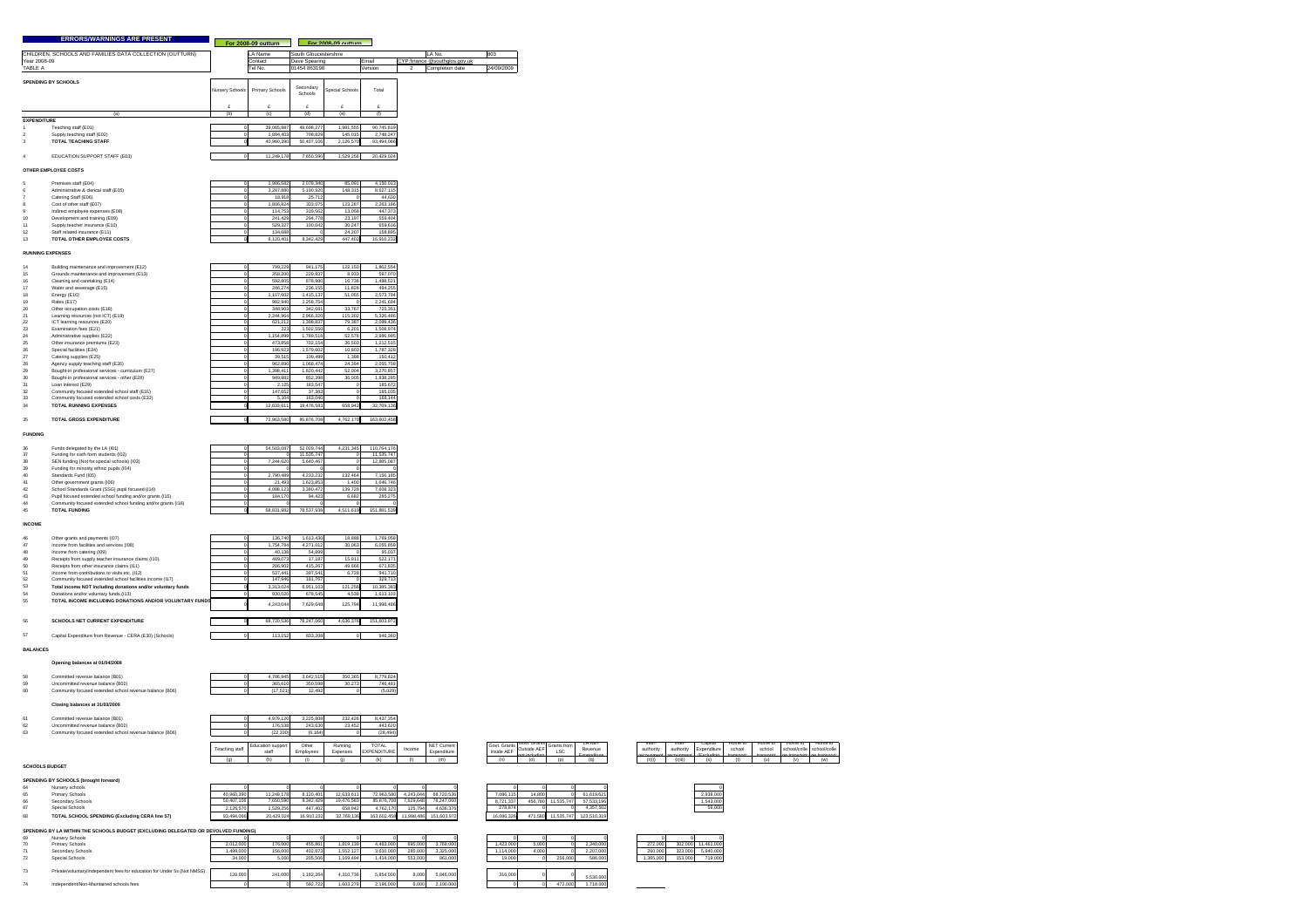|                                                                                  | <b>ERRORS/WARNINGS ARE PRESENT</b>                                                                                         |                       | For 2008-09 outturn   |                         | For 2008-09 outturn    |                           |                                       |                       |                                                        |
|----------------------------------------------------------------------------------|----------------------------------------------------------------------------------------------------------------------------|-----------------------|-----------------------|-------------------------|------------------------|---------------------------|---------------------------------------|-----------------------|--------------------------------------------------------|
|                                                                                  | CHILDREN, SCHOOLS AND FAMILIES DATA COLLECTION (OUTTURN)                                                                   |                       | LA Name               | South Gloucestershire   |                        |                           | LA No.                                | 803                   |                                                        |
| Year 2008-09                                                                     |                                                                                                                            |                       | Contact               | Dave Spearing           |                        | Email                     | CYP.finance @southglos.gov.uk         |                       |                                                        |
| TABLE A                                                                          |                                                                                                                            |                       | Tel No.               | 1454 863198             |                        | Version                   | Completion date                       | 24/09/2009            |                                                        |
| SPENDING BY SCHOOLS                                                              |                                                                                                                            | Nursery Schools       | Primary Schools       | Secondary               | Special Schools        | Total                     |                                       |                       |                                                        |
|                                                                                  |                                                                                                                            |                       |                       | Schools                 |                        |                           |                                       |                       |                                                        |
|                                                                                  |                                                                                                                            |                       |                       |                         |                        |                           |                                       |                       |                                                        |
| <b>EXPENDITURE</b>                                                               | (a)                                                                                                                        | (b)                   | (c)                   | (d)                     | (e)                    | (f)                       |                                       |                       |                                                        |
| Teaching staff (E01)<br>Supply teaching staff (E02)<br>$\overline{2}$            |                                                                                                                            |                       | 39.065.98<br>1,894,40 | 49.698.277<br>708,829   | 1.981.555<br>145,015   | 90.745.819<br>2,748,247   |                                       |                       |                                                        |
| <b>TOTAL TEACHING STAFF</b><br>$\overline{\mathbf{3}}$                           |                                                                                                                            |                       | 40.960.390            | 50.407.106              | 2.126.570              | 93.494.066                |                                       |                       |                                                        |
| $\overline{4}$                                                                   | EDUCATION SUPPORT STAFF (E03)                                                                                              | $\Omega$              | 11.249.178            | 7,650,590               | 1,529,256              | 20.429.024                |                                       |                       |                                                        |
|                                                                                  |                                                                                                                            |                       |                       |                         |                        |                           |                                       |                       |                                                        |
| OTHER EMPLOYEE COSTS                                                             |                                                                                                                            |                       |                       |                         |                        |                           |                                       |                       |                                                        |
| Premises staff (E04)<br>$\mathbf{g}$<br>6                                        | Administrative & clerical staff (E05)                                                                                      |                       | 1.986.58<br>3,287,88  | 2.078.340<br>5,190,92   | 85.091<br>148,315      | 4,150,013<br>8,627,115    |                                       |                       |                                                        |
| Catering Staff (E06)<br>$\overline{7}$<br>8                                      |                                                                                                                            |                       | 18,91                 | 25,71                   |                        | 44,630                    |                                       |                       |                                                        |
| Cost of other staff (E07)<br>$\theta$                                            | Indirect employee expenses (E08)                                                                                           |                       | 1,806,82<br>114,75    | 333,075<br>319,562      | 123,287<br>13,058      | 2,263,186<br>447,373      |                                       |                       |                                                        |
| 10<br>Development and training (E09)<br>11                                       |                                                                                                                            |                       | 241,42                | 294,778                 | 23,197                 | 559,404                   |                                       |                       |                                                        |
| Supply teacher insurance (E10)<br>$12$<br>Staff related insurance (E11)          |                                                                                                                            |                       | 529,32<br>134,68      | 100,042                 | 30,247<br>24,207       | 659,616<br>158,895        |                                       |                       |                                                        |
| 13                                                                               | TOTAL OTHER EMPLOYEE COSTS                                                                                                 |                       | 8.120.401             | 8.342.429               | 447,402                | 16,910,232                |                                       |                       |                                                        |
| <b>RUNNING EXPENSES</b>                                                          |                                                                                                                            |                       |                       |                         |                        |                           |                                       |                       |                                                        |
|                                                                                  | Building maintenance and improvement (E12)                                                                                 |                       | 799,229               | 941,175                 | 122,150                | 1,862,554                 |                                       |                       |                                                        |
| 14<br>15                                                                         | Grounds maintenance and improvement (E13)                                                                                  |                       | 358,20                | 229,937                 | 8,933                  | 597,070                   |                                       |                       |                                                        |
| Cleaning and caretaking (E14)<br>16<br>$17\,$<br>Water and sewerage (E15)        |                                                                                                                            |                       | 592,805<br>246,274    | 878,980<br>236,155      | 16,736<br>11,826       | 1,488,521<br>494,255      |                                       |                       |                                                        |
| 18<br>Energy (E16)                                                               |                                                                                                                            |                       | 1,107,60              | 1,415,137               | 51,055                 | 2,573,794                 |                                       |                       |                                                        |
| 19<br>Rates (E17)<br>$20\,$<br>Other occupation costs (E18)                      |                                                                                                                            |                       | 982,94<br>348,90      | 1,258,754<br>342,681    | 33,767                 | 2,241,694<br>725,351      |                                       |                       |                                                        |
| 21                                                                               | Learning resources (not ICT) (E19)                                                                                         |                       | 2,244,96              | 2,966,320               | 115,202                | 5,326,486                 |                                       |                       |                                                        |
| $\bf{22}$<br>ICT learning resources (E20)<br>$\bf{23}$<br>Examination fees (E21) |                                                                                                                            |                       | 621,213<br>22         | 1,398,837<br>1,502,550  | 79,387<br>6,201        | 2,099,436<br>1,508,974    |                                       |                       |                                                        |
| $24\,$<br>Administrative supplies (E22)                                          |                                                                                                                            |                       | 1,154,89              | 1,789,51                | 52,578                 | 2,996,995                 |                                       |                       |                                                        |
| 25<br>26<br>Special facilities (E24)                                             | Other insurance premiums (E23)                                                                                             |                       | 473,85<br>196,92      | 702,15<br>1,579,602     | 36,503<br>10,803       | 1,212,515<br>1,787,328    |                                       |                       |                                                        |
| $27\,$<br>Catering supplies (E25)                                                |                                                                                                                            |                       | 39,51                 | 109,499                 | 1,398                  | 150,412                   |                                       |                       |                                                        |
| ${\bf 28}$<br>29                                                                 | Agency supply teaching staff (E26)<br>Bought-in professional services - curriculum (E27)                                   |                       | 962,890<br>1,398,41   | 1,068,474<br>1,820,442  | 24,394<br>52,004       | 2,055,758<br>3,270,857    |                                       |                       |                                                        |
| 30<br>31<br>Loan interest (E29)                                                  | Bought-in professional services - other (E28)                                                                              |                       | 949.88<br>2.125       | 852,398<br>183,547      | 36,005                 | 1.838.285<br>185,672      |                                       |                       |                                                        |
| 32                                                                               | Community focused extended school staff (E31)                                                                              |                       | 147.65                | 37,383                  |                        | 185,035                   |                                       |                       |                                                        |
| 33<br><b>TOTAL RUNNING EXPENSES</b><br>34                                        | Community focused extended school costs (E32)                                                                              |                       | 5.104<br>12.633.611   | 163,040<br>19.476.583   | $\Omega$<br>658,942    | 168,144<br>32,769.136     |                                       |                       |                                                        |
|                                                                                  |                                                                                                                            |                       |                       |                         |                        |                           |                                       |                       |                                                        |
| 35                                                                               | <b>TOTAL GROSS EXPENDITURE</b>                                                                                             |                       | 72,963,580            | 85,876,708              | 4,762,170              | 163,602,458               |                                       |                       |                                                        |
| <b>FUNDING</b>                                                                   |                                                                                                                            |                       |                       |                         |                        |                           |                                       |                       |                                                        |
| 36<br>Funds delegated by the LA (101)                                            |                                                                                                                            |                       | 54,503,087            | 52,029,744              | 4,231,345              | 110,764,176               |                                       |                       |                                                        |
| $_{\rm 37}$<br>38                                                                | Funding for sixth form students (I02)<br>SEN funding (Not for special schools) (I03)                                       |                       | 7,244,62              | 11,535,747<br>5,640,467 |                        | 11,535,747<br>12,885,087  |                                       |                       |                                                        |
| 39                                                                               | Funding for minority ethnic pupils (I04)                                                                                   |                       |                       |                         |                        |                           |                                       |                       |                                                        |
| 40<br>Standards Fund (I05)<br>Other government grants (I06)                      |                                                                                                                            |                       | 2.790.48<br>21,493    | 4.233.232<br>1,623,853  | 132,464<br>1,400       | 7.156.185<br>1,646,746    |                                       |                       |                                                        |
| $41\,$<br>42                                                                     | School Standards Grant (SSG) pupil focused (I14)                                                                           |                       | 4,088,12              | 3,380,472               | 139,728                | 7,608,323                 |                                       |                       |                                                        |
| $43\,$<br>44                                                                     | Pupil focused extended school funding and/or grants (I15)<br>Community focused extended school funding and/or grants (116) |                       | 184,17                | 94,423<br>$\Omega$      | 6,682                  | 285,275                   |                                       |                       |                                                        |
| <b>TOTAL FUNDING</b>                                                             |                                                                                                                            |                       | 68.831.982            | 78,537,938              | 4,511,619              | 151,881,539               |                                       |                       |                                                        |
| <b>INCOME</b>                                                                    |                                                                                                                            |                       |                       |                         |                        |                           |                                       |                       |                                                        |
|                                                                                  |                                                                                                                            |                       |                       |                         | 18,888                 |                           |                                       |                       |                                                        |
| 46<br>47                                                                         | Other grants and payments (107)<br>Income from facilities and services (I08)                                               |                       | 136,740<br>1,754,784  | 1,613,430<br>4,271,012  | 30,063                 | 1,769,058<br>6,055,859    |                                       |                       |                                                        |
| 48<br>Income from catering (I09)<br>49                                           | Receipts from supply teacher insurance claims (I10)                                                                        |                       | 40.13<br>489.07       | 54,899<br>17.187        | 15.911                 | 95.037<br>522.171         |                                       |                       |                                                        |
| 50                                                                               | Receipts from other insurance claims (I11)                                                                                 |                       | 206.90                | 415.267                 | 49.666                 | 671,835                   |                                       |                       |                                                        |
| 51<br>52                                                                         | Income from contributions to visits etc. (I12)<br>Community focused extended school facilities income (I17)                |                       | 537.44<br>147.94      | 397.541<br>181,767      | 6.728                  | 941.710<br>329.713        |                                       |                       |                                                        |
| 53<br>54                                                                         | Total income NOT including donations and/or voluntary funds                                                                |                       | 3.313.02              | 6.951.103               | 121,256                | 10.385.383                |                                       |                       |                                                        |
|                                                                                  | Donations and/or voluntary funds (I13)<br>TOTAL INCOME INCLUDING DONATIONS AND/OR VOLUNTARY FUND                           |                       | 930.0                 | 678 54                  | 4.538                  | 1,613,103                 |                                       |                       |                                                        |
|                                                                                  |                                                                                                                            |                       | 4,243,04              | 7,629,64                | 125,79                 | 11,998,486                |                                       |                       |                                                        |
|                                                                                  | <b>SCHOOLS NET CURRENT EXPENDITURE</b>                                                                                     |                       | 68,720,536            | 78,247,060              | 4,636,376              | 151,603,972               |                                       |                       |                                                        |
|                                                                                  |                                                                                                                            |                       |                       |                         |                        |                           |                                       |                       |                                                        |
|                                                                                  | Capital Expenditure from Revenue - CERA (E30) (Schools)                                                                    | $\circ$               | 113.152               | 833,208                 | $\circ$                | 946,360                   |                                       |                       |                                                        |
| <b>BALANCES</b>                                                                  |                                                                                                                            |                       |                       |                         |                        |                           |                                       |                       |                                                        |
|                                                                                  | Opening balances at 01/04/2008                                                                                             |                       |                       |                         |                        |                           |                                       |                       |                                                        |
|                                                                                  |                                                                                                                            |                       |                       |                         |                        |                           |                                       |                       |                                                        |
| 58<br>59                                                                         | Committed revenue balance (B01)<br>Uncommitted revenue balance (B02)                                                       |                       | 4,786,945<br>365,610  | 3,642,515<br>350,598    | 350,365<br>30,273      | 8,779,824<br>746,481      |                                       |                       |                                                        |
| 60                                                                               | Community focused extended school revenue balance (B06)                                                                    |                       | (17, 521)             | 12,492                  |                        | (5,029)                   |                                       |                       |                                                        |
|                                                                                  | Closing balances at 31/03/2009                                                                                             |                       |                       |                         |                        |                           |                                       |                       |                                                        |
|                                                                                  | Committed revenue balance (B01)                                                                                            |                       | 4,979,120             | 3,225,808               | 232,426                | 8,437,354                 |                                       |                       |                                                        |
| 61<br>62<br>63                                                                   | Uncommitted revenue balance (B02)                                                                                          |                       | 176,538               | 243,630                 | 23,452                 | 443,620                   |                                       |                       |                                                        |
|                                                                                  | Community focused extended school revenue balance (B06)                                                                    |                       | (22, 330)             | (6, 164)                |                        | (28, 494)                 |                                       |                       |                                                        |
|                                                                                  |                                                                                                                            | <b>Teaching staff</b> | Education suppor      | Other                   | Running                | TOTAL                     | NET Current<br>Income                 | Govt, Grants          | Grants from<br>Outside AEF                             |
|                                                                                  |                                                                                                                            | (g)                   | staff<br>(h)          | Employees<br>$\sqrt{0}$ | Expenses<br>$\omega$   | <b>EXPENDITURE</b><br>(k) | Expenditure<br>(1)<br>(m)             | Inside AEF<br>(n)     | <b>LSC</b><br>t including<br>$\left( 0 \right)$<br>(p) |
| SCHOOLS BUDGET                                                                   |                                                                                                                            |                       |                       |                         |                        |                           |                                       |                       |                                                        |
| SPENDING BY SCHOOLS (brought forward)                                            |                                                                                                                            |                       |                       |                         |                        |                           |                                       |                       |                                                        |
| Nursery schools<br>RA<br>Primary Schools                                         |                                                                                                                            | 40,960,390            | 11,249.178            | $\Omega$<br>8.120.401   | $\Omega$<br>12.633.611 | 72,963,580                | $\Omega$<br>4.243.044<br>68,720,536   | $\Omega$<br>7.086.115 | $\Omega$<br>14,800                                     |
| 65<br>66<br>Secondary Schools                                                    |                                                                                                                            | 50,407.10             | 7,650.59              | 8.342.429               | 19,476,583             | 85,876,708                | 7.629.648 78.247.060                  | 8.721.337             | 456.780 11.535.747                                     |
| 67<br>Special Schools                                                            |                                                                                                                            | 2.126.570             | 1.529.256             | 447.402                 | 658,942                | 4.762.170                 | 125,794<br>4.636.376                  | 278,874               |                                                        |
| 68                                                                               | TOTAL SCHOOL SPENDING (Excluding CERA line 57)                                                                             | 93,494,066            | 20,429,024            | 16,910,232              | 32,769,136             |                           | 163,602,458 11,998,486<br>151,603,972 | 16,086,326            | 471,580<br>11.535.747                                  |
| 69                                                                               | SPENDING BY LA WITHIN THE SCHOOLS BUDGET (EXCLUDING DELEGATED OR DEVOLVED FUNDING)                                         |                       |                       |                         |                        |                           |                                       |                       |                                                        |
| Nursery Schools<br>Primary Schools                                               |                                                                                                                            | 2.012.000             | $^{\circ}$<br>176,000 | $\alpha$<br>455,861     | $\circ$<br>1,819,139   | $^{\circ}$<br>4,463,000   | $^{\circ}$<br>695,000<br>3,768,000    | $\circ$<br>1,423,000  | $^{\circ}$<br>5,000                                    |

| .  | .               |  |
|----|-----------------|--|
| 72 | Special Schools |  |
|    |                 |  |

|           | 122.3301                   | 10. IO41                  |                     |                                    |        |                            |                            |                                                             |                          |                                 |           |           |                      |                     |                      |                                 |                                 |
|-----------|----------------------------|---------------------------|---------------------|------------------------------------|--------|----------------------------|----------------------------|-------------------------------------------------------------|--------------------------|---------------------------------|-----------|-----------|----------------------|---------------------|----------------------|---------------------------------|---------------------------------|
|           |                            |                           |                     |                                    |        |                            |                            |                                                             |                          |                                 |           |           |                      |                     |                      |                                 |                                 |
| ing staff | Education support<br>staft | Other<br><b>Employees</b> | Running<br>Expenses | <b>TOTAL</b><br><b>EXPENDITURE</b> | Income | NET Current<br>Expenditure | Govt, Grants<br>Inside AEF | <b>SALTADISE</b><br>$1 - 11$<br>OUTSIDE AL<br>not including | as from<br>$^{0}$<br>LSU | LA NET<br>Revenue<br>-vnenditur | authority | authority | 230.53<br>Expenditur | гтогпе то<br>school | riome to l<br>school | nome to<br>school/colle school/ | <b>FIGHTH</b><br>mort: na trans |
|           |                            |                           |                     | n                                  |        |                            | $\sqrt{2}$                 |                                                             |                          |                                 | (1, 1)    | (r(i))    | ίĸ                   |                     |                      |                                 |                                 |
|           |                            |                           |                     |                                    |        |                            |                            |                                                             |                          |                                 |           |           |                      |                     |                      |                                 |                                 |

| EA line o/ F                          | ,,,,,,,,,,,, | <b><i><u><i>CUMEDIUC</i></u></i></b> | <b>19.919.434</b> | 36.793.139 | 103.002.4001 |  |  |  |  |
|---------------------------------------|--------------|--------------------------------------|-------------------|------------|--------------|--|--|--|--|
|                                       |              |                                      |                   |            |              |  |  |  |  |
| LUDING DELEGATED OR DEVOLVED FUNDING) |              |                                      |                   |            |              |  |  |  |  |
|                                       |              |                                      |                   |            |              |  |  |  |  |
|                                       | 2.012.000    | 176,000                              | 455.861           | .819.139   | 4.463.000    |  |  |  |  |

| 69<br>Nursery Schools<br>2.012.000<br>3.768.000<br>5.000<br>2.340.000<br>176,000<br>455.861<br>4.463.000<br>1.423.000<br>272,000<br>1,819,139<br>695,000<br>302,000<br>Primary Schools<br>70<br>1.499.000<br>156,000<br>3.325.000<br>4.000<br>2.207.000<br>260,000<br>1.552.127<br>3.610.000<br>402.873<br>285,000<br>323,000<br>71<br>Secondary Schools<br>1.114.000<br>586,000<br>861.000<br>1.365.000<br>1.169.494<br>256,000<br>72<br>553,000<br>153,000<br>Special Schools<br>205,506<br>1.414.000<br>34,000<br>19,000<br>5.000<br>73<br>Private/voluntary/independent fees for education for Under 5s (Not NMSS)<br>120.00<br>1.182.264<br>5.854.000<br>8,000<br>241.000<br>4.310.736<br>5.846.000<br>316,000<br>5.530.000<br>1,718,000<br>1.603.278<br>2.196.000<br>2.190.000<br>592.722<br>6,000<br>472.000<br>74<br>Independent/Non-Maintained schools fees |  |  |  |  |  |  |  |  |  |            |  |  |  |  |  |  |
|----------------------------------------------------------------------------------------------------------------------------------------------------------------------------------------------------------------------------------------------------------------------------------------------------------------------------------------------------------------------------------------------------------------------------------------------------------------------------------------------------------------------------------------------------------------------------------------------------------------------------------------------------------------------------------------------------------------------------------------------------------------------------------------------------------------------------------------------------------------------|--|--|--|--|--|--|--|--|--|------------|--|--|--|--|--|--|
|                                                                                                                                                                                                                                                                                                                                                                                                                                                                                                                                                                                                                                                                                                                                                                                                                                                                      |  |  |  |  |  |  |  |  |  |            |  |  |  |  |  |  |
|                                                                                                                                                                                                                                                                                                                                                                                                                                                                                                                                                                                                                                                                                                                                                                                                                                                                      |  |  |  |  |  |  |  |  |  | 11,461,000 |  |  |  |  |  |  |
|                                                                                                                                                                                                                                                                                                                                                                                                                                                                                                                                                                                                                                                                                                                                                                                                                                                                      |  |  |  |  |  |  |  |  |  | 5,940,000  |  |  |  |  |  |  |
|                                                                                                                                                                                                                                                                                                                                                                                                                                                                                                                                                                                                                                                                                                                                                                                                                                                                      |  |  |  |  |  |  |  |  |  | 719,000    |  |  |  |  |  |  |
|                                                                                                                                                                                                                                                                                                                                                                                                                                                                                                                                                                                                                                                                                                                                                                                                                                                                      |  |  |  |  |  |  |  |  |  |            |  |  |  |  |  |  |
|                                                                                                                                                                                                                                                                                                                                                                                                                                                                                                                                                                                                                                                                                                                                                                                                                                                                      |  |  |  |  |  |  |  |  |  |            |  |  |  |  |  |  |
|                                                                                                                                                                                                                                                                                                                                                                                                                                                                                                                                                                                                                                                                                                                                                                                                                                                                      |  |  |  |  |  |  |  |  |  |            |  |  |  |  |  |  |
|                                                                                                                                                                                                                                                                                                                                                                                                                                                                                                                                                                                                                                                                                                                                                                                                                                                                      |  |  |  |  |  |  |  |  |  |            |  |  |  |  |  |  |
|                                                                                                                                                                                                                                                                                                                                                                                                                                                                                                                                                                                                                                                                                                                                                                                                                                                                      |  |  |  |  |  |  |  |  |  |            |  |  |  |  |  |  |

| ٥I             |            |         |            |             |
|----------------|------------|---------|------------|-------------|
|                | 7.086.115  | 14,800  |            | 61.619.621  |
|                | 8.721.337  | 456,780 | 11.535.747 | 57.533.196  |
|                | 278.874    |         |            | 4.357.502   |
| $\overline{2}$ | 16.086.326 | 471.580 | 11.535.747 | 123.510.319 |

| 8.721.337  | 456.780 | 11.535.747 | 57.533.19 |
|------------|---------|------------|-----------|
| 278.874    |         | n          | 4.357.50  |
| 16.086.326 | 471.580 | 11.535.747 | 123.510.3 |
|            |         |            |           |
|            |         |            |           |
|            |         |            |           |

|           | Ω      |         |           |
|-----------|--------|---------|-----------|
| 1.423.000 | 5.000  |         | 2.340.000 |
| 1.114.000 | 4.000  |         | 2.207.000 |
| 19,000    | ٥      | 256.000 | 586,000   |
|           |        |         |           |
| asa ana   | $\sim$ | ~       |           |

| 1.461.0 | 302,000 | 272,000   |
|---------|---------|-----------|
|         | .       | ורז בספכי |

Home to school/college transport: